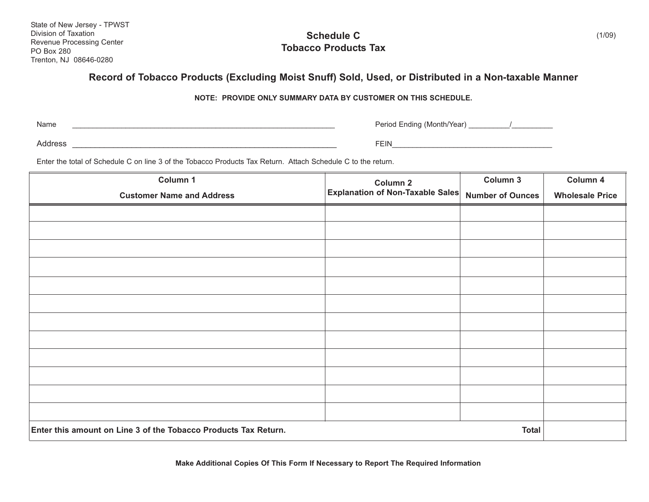State of New Jersey - TPWST Division of Taxation Revenue Processing Center PO Box 280 Trenton, NJ 08646-0280

## **Schedule C Tobacco Products Tax**

## **Record of Tobacco Products (Excluding Moist Snuff) Sold, Used, or Distributed in a Non-taxable Manner**

**NOTE: PROVIDE ONLY SUMMARY DATA BY CUSTOMER ON THIS SCHEDULE.**

Name

\_\_\_\_\_\_\_\_\_\_\_\_\_\_\_\_\_\_\_\_\_\_\_\_\_\_\_\_\_\_\_\_\_\_\_\_\_\_\_\_\_\_\_\_\_\_\_\_\_\_\_\_\_\_\_\_\_\_\_\_\_\_\_\_ Period Ending (Month/Year) \_\_\_\_\_\_\_\_\_\_/\_\_\_\_\_\_\_\_\_\_

Address \_\_\_\_\_\_\_\_\_\_\_\_\_\_\_\_\_\_\_\_\_\_\_\_\_\_\_\_\_\_\_\_\_\_\_\_\_\_\_\_\_\_\_\_\_\_\_\_\_\_\_\_\_\_\_\_\_\_ FEIN\_\_\_\_\_\_\_\_\_\_\_\_\_\_\_\_\_\_\_\_\_\_\_\_\_\_\_\_\_\_\_\_\_\_\_\_\_\_\_

Enter the total of Schedule C on line 3 of the Tobacco Products Tax Return. Attach Schedule C to the return.

| Column 1                                                        | Column 2<br><b>Explanation of Non-Taxable Sales</b> | Column 3                | Column 4               |
|-----------------------------------------------------------------|-----------------------------------------------------|-------------------------|------------------------|
| <b>Customer Name and Address</b>                                |                                                     | <b>Number of Ounces</b> | <b>Wholesale Price</b> |
|                                                                 |                                                     |                         |                        |
|                                                                 |                                                     |                         |                        |
|                                                                 |                                                     |                         |                        |
|                                                                 |                                                     |                         |                        |
|                                                                 |                                                     |                         |                        |
|                                                                 |                                                     |                         |                        |
|                                                                 |                                                     |                         |                        |
|                                                                 |                                                     |                         |                        |
|                                                                 |                                                     |                         |                        |
|                                                                 |                                                     |                         |                        |
|                                                                 |                                                     |                         |                        |
|                                                                 |                                                     |                         |                        |
| Enter this amount on Line 3 of the Tobacco Products Tax Return. |                                                     | <b>Total</b>            |                        |